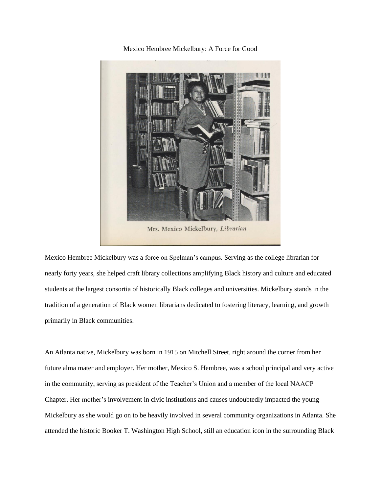Mexico Hembree Mickelbury: A Force for Good



Mrs. Mexico Mickelbury, Librarian

Mexico Hembree Mickelbury was a force on Spelman's campus. Serving as the college librarian for nearly forty years, she helped craft library collections amplifying Black history and culture and educated students at the largest consortia of historically Black colleges and universities. Mickelbury stands in the tradition of a generation of Black women librarians dedicated to fostering literacy, learning, and growth primarily in Black communities.

An Atlanta native, Mickelbury was born in 1915 on Mitchell Street, right around the corner from her future alma mater and employer. Her mother, Mexico S. Hembree, was a school principal and very active in the community, serving as president of the Teacher's Union and a member of the local NAACP Chapter. Her mother's involvement in civic institutions and causes undoubtedly impacted the young Mickelbury as she would go on to be heavily involved in several community organizations in Atlanta. She attended the historic Booker T. Washington High School, still an education icon in the surrounding Black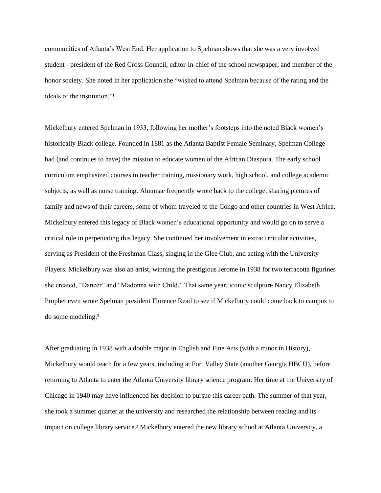communities of Atlanta's West End. Her application to Spelman shows that she was a very involved student - president of the Red Cross Council, editor-in-chief of the school newspaper, and member of the honor society. She noted in her application she "wished to attend Spelman because of the rating and the ideals of the institution."<sup>1</sup>

Mickelbury entered Spelman in 1933, following her mother's footsteps into the noted Black women's historically Black college. Founded in 1881 as the Atlanta Baptist Female Seminary, Spelman College had (and continues to have) the mission to educate women of the African Diaspora. The early school curriculum emphasized courses in teacher training, missionary work, high school, and college academic subjects, as well as nurse training. Alumnae frequently wrote back to the college, sharing pictures of family and news of their careers, some of whom traveled to the Congo and other countries in West Africa. Mickelbury entered this legacy of Black women's educational opportunity and would go on to serve a critical role in perpetuating this legacy. She continued her involvement in extracurricular activities, serving as President of the Freshman Class, singing in the Glee Club, and acting with the University Players. Mickelbury was also an artist, winning the prestigious Jerome in 1938 for two terracotta figurines she created, "Dancer" and "Madonna with Child." That same year, iconic sculpture Nancy Elizabeth Prophet even wrote Spelman president Florence Read to see if Mickelbury could come back to campus to do some modeling.²

After graduating in 1938 with a double major in English and Fine Arts (with a minor in History), Mickelbury would teach for a few years, including at Fort Valley State (another Georgia HBCU), before returning to Atlanta to enter the Atlanta University library science program. Her time at the University of Chicago in 1940 may have influenced her decision to pursue this career path. The summer of that year, she took a summer quarter at the university and researched the relationship between reading and its impact on college library service.<sup>3</sup> Mickelbury entered the new library school at Atlanta University, a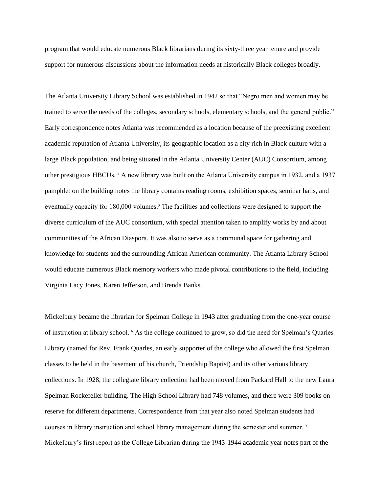program that would educate numerous Black librarians during its sixty-three year tenure and provide support for numerous discussions about the information needs at historically Black colleges broadly.

The Atlanta University Library School was established in 1942 so that "Negro men and women may be trained to serve the needs of the colleges, secondary schools, elementary schools, and the general public." Early correspondence notes Atlanta was recommended as a location because of the preexisting excellent academic reputation of Atlanta University, its geographic location as a city rich in Black culture with a large Black population, and being situated in the Atlanta University Center (AUC) Consortium, among other prestigious HBCUs. ⁴ A new library was built on the Atlanta University campus in 1932, and a 1937 pamphlet on the building notes the library contains reading rooms, exhibition spaces, seminar halls, and eventually capacity for 180,000 volumes.<sup>5</sup> The facilities and collections were designed to support the diverse curriculum of the AUC consortium, with special attention taken to amplify works by and about communities of the African Diaspora. It was also to serve as a communal space for gathering and knowledge for students and the surrounding African American community. The Atlanta Library School would educate numerous Black memory workers who made pivotal contributions to the field, including Virginia Lacy Jones, Karen Jefferson, and Brenda Banks.

Mickelbury became the librarian for Spelman College in 1943 after graduating from the one-year course of instruction at library school. ⁶ As the college continued to grow, so did the need for Spelman's Quarles Library (named for Rev. Frank Quarles, an early supporter of the college who allowed the first Spelman classes to be held in the basement of his church, Friendship Baptist) and its other various library collections. In 1928, the collegiate library collection had been moved from Packard Hall to the new Laura Spelman Rockefeller building. The High School Library had 748 volumes, and there were 309 books on reserve for different departments. Correspondence from that year also noted Spelman students had courses in library instruction and school library management during the semester and summer.<sup>7</sup> Mickelbury's first report as the College Librarian during the 1943-1944 academic year notes part of the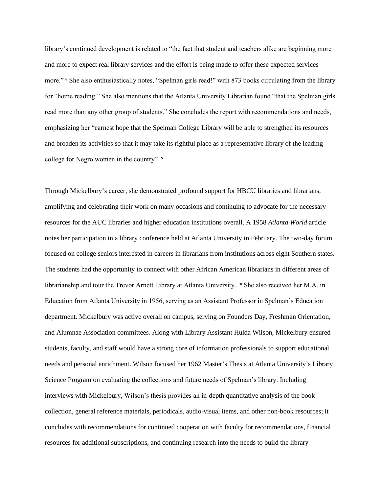library's continued development is related to "the fact that student and teachers alike are beginning more and more to expect real library services and the effort is being made to offer these expected services more." <sup>8</sup> She also enthusiastically notes, "Spelman girls read!" with 873 books circulating from the library for "home reading." She also mentions that the Atlanta University Librarian found "that the Spelman girls read more than any other group of students." She concludes the report with recommendations and needs, emphasizing her "earnest hope that the Spelman College Library will be able to strengthen its resources and broaden its activities so that it may take its rightful place as a representative library of the leading college for Negro women in the country" <sup>9</sup>

Through Mickelbury's career, she demonstrated profound support for HBCU libraries and librarians, amplifying and celebrating their work on many occasions and continuing to advocate for the necessary resources for the AUC libraries and higher education institutions overall. A 1958 *Atlanta World* article notes her participation in a library conference held at Atlanta University in February. The two-day forum focused on college seniors interested in careers in librarians from institutions across eight Southern states. The students had the opportunity to connect with other African American librarians in different areas of librarianship and tour the Trevor Arnett Library at Atlanta University. <sup>10</sup> She also received her M.A. in Education from Atlanta University in 1956, serving as an Assistant Professor in Spelman's Education department. Mickelbury was active overall on campus, serving on Founders Day, Freshman Orientation, and Alumnae Association committees. Along with Library Assistant Hulda Wilson, Mickelbury ensured students, faculty, and staff would have a strong core of information professionals to support educational needs and personal enrichment. Wilson focused her 1962 Master's Thesis at Atlanta University's Library Science Program on evaluating the collections and future needs of Spelman's library. Including interviews with Mickelbury, Wilson's thesis provides an in-depth quantitative analysis of the book collection, general reference materials, periodicals, audio-visual items, and other non-book resources; it concludes with recommendations for continued cooperation with faculty for recommendations, financial resources for additional subscriptions, and continuing research into the needs to build the library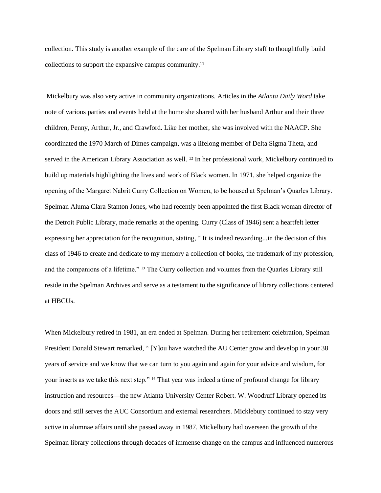collection. This study is another example of the care of the Spelman Library staff to thoughtfully build collections to support the expansive campus community.<sup>11</sup>

Mickelbury was also very active in community organizations. Articles in the *Atlanta Daily Word* take note of various parties and events held at the home she shared with her husband Arthur and their three children, Penny, Arthur, Jr., and Crawford. Like her mother, she was involved with the NAACP. She coordinated the 1970 March of Dimes campaign, was a lifelong member of Delta Sigma Theta, and served in the American Library Association as well. <sup>12</sup> In her professional work, Mickelbury continued to build up materials highlighting the lives and work of Black women. In 1971, she helped organize the opening of the Margaret Nabrit Curry Collection on Women, to be housed at Spelman's Quarles Library. Spelman Aluma Clara Stanton Jones, who had recently been appointed the first Black woman director of the Detroit Public Library, made remarks at the opening. Curry (Class of 1946) sent a heartfelt letter expressing her appreciation for the recognition, stating, " It is indeed rewarding...in the decision of this class of 1946 to create and dedicate to my memory a collection of books, the trademark of my profession, and the companions of a lifetime." <sup>13</sup> The Curry collection and volumes from the Quarles Library still reside in the Spelman Archives and serve as a testament to the significance of library collections centered at HBCUs.

When Mickelbury retired in 1981, an era ended at Spelman. During her retirement celebration, Spelman President Donald Stewart remarked, " [Y]ou have watched the AU Center grow and develop in your 38 years of service and we know that we can turn to you again and again for your advice and wisdom, for your inserts as we take this next step." <sup>14</sup> That year was indeed a time of profound change for library instruction and resources—the new Atlanta University Center Robert. W. Woodruff Library opened its doors and still serves the AUC Consortium and external researchers. Micklebury continued to stay very active in alumnae affairs until she passed away in 1987. Mickelbury had overseen the growth of the Spelman library collections through decades of immense change on the campus and influenced numerous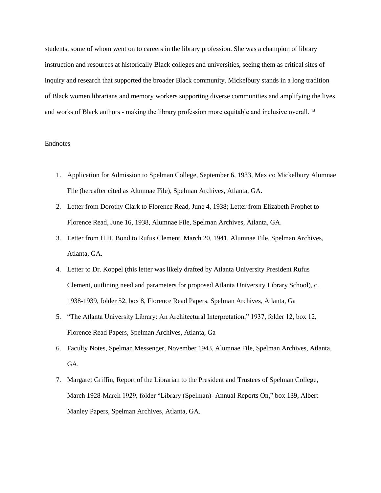students, some of whom went on to careers in the library profession. She was a champion of library instruction and resources at historically Black colleges and universities, seeing them as critical sites of inquiry and research that supported the broader Black community. Mickelbury stands in a long tradition of Black women librarians and memory workers supporting diverse communities and amplifying the lives and works of Black authors - making the library profession more equitable and inclusive overall.<sup>15</sup>

## Endnotes

- 1. Application for Admission to Spelman College, September 6, 1933, Mexico Mickelbury Alumnae File (hereafter cited as Alumnae File), Spelman Archives, Atlanta, GA.
- 2. Letter from Dorothy Clark to Florence Read, June 4, 1938; Letter from Elizabeth Prophet to Florence Read, June 16, 1938, Alumnae File, Spelman Archives, Atlanta, GA.
- 3. Letter from H.H. Bond to Rufus Clement, March 20, 1941, Alumnae File, Spelman Archives, Atlanta, GA.
- 4. Letter to Dr. Koppel (this letter was likely drafted by Atlanta University President Rufus Clement, outlining need and parameters for proposed Atlanta University Library School), c. 1938-1939, folder 52, box 8, Florence Read Papers, Spelman Archives, Atlanta, Ga
- 5. "The Atlanta University Library: An Architectural Interpretation," 1937, folder 12, box 12, Florence Read Papers, Spelman Archives, Atlanta, Ga
- 6. Faculty Notes, Spelman Messenger, November 1943, Alumnae File, Spelman Archives, Atlanta, GA.
- 7. Margaret Griffin, Report of the Librarian to the President and Trustees of Spelman College, March 1928-March 1929, folder "Library (Spelman)- Annual Reports On," box 139, Albert Manley Papers, Spelman Archives, Atlanta, GA.